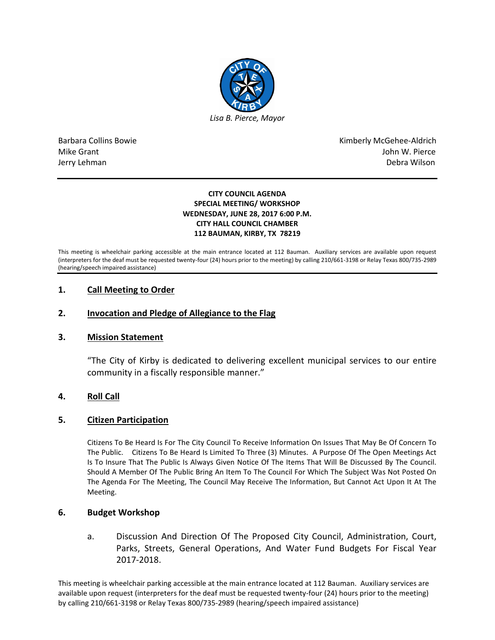

Barbara Collins Bowie **Kimberly McGehee-Aldrich** Mike Grant John W. Pierce Jerry Lehman Debra Wilson (2008) and the state of the state of the state of the state of the state of the state of the state of the state of the state of the state of the state of the state of the state of the state of the

#### **CITY COUNCIL AGENDA SPECIAL MEETING/ WORKSHOP WEDNESDAY, JUNE 28, 2017 6:00 P.M. CITY HALL COUNCIL CHAMBER 112 BAUMAN, KIRBY, TX 78219**

This meeting is wheelchair parking accessible at the main entrance located at 112 Bauman. Auxiliary services are available upon request (interpreters for the deaf must be requested twenty-four (24) hours prior to the meeting) by calling 210/661-3198 or Relay Texas 800/735-2989 (hearing/speech impaired assistance)

# **1. Call Meeting to Order**

## **2. Invocation and Pledge of Allegiance to the Flag**

### **3. Mission Statement**

"The City of Kirby is dedicated to delivering excellent municipal services to our entire community in a fiscally responsible manner."

### **4. Roll Call**

### **5. Citizen Participation**

Citizens To Be Heard Is For The City Council To Receive Information On Issues That May Be Of Concern To The Public. Citizens To Be Heard Is Limited To Three (3) Minutes. A Purpose Of The Open Meetings Act Is To Insure That The Public Is Always Given Notice Of The Items That Will Be Discussed By The Council. Should A Member Of The Public Bring An Item To The Council For Which The Subject Was Not Posted On The Agenda For The Meeting, The Council May Receive The Information, But Cannot Act Upon It At The Meeting.

### **6. Budget Workshop**

a. Discussion And Direction Of The Proposed City Council, Administration, Court, Parks, Streets, General Operations, And Water Fund Budgets For Fiscal Year 2017-2018.

This meeting is wheelchair parking accessible at the main entrance located at 112 Bauman. Auxiliary services are available upon request (interpreters for the deaf must be requested twenty-four (24) hours prior to the meeting) by calling 210/661-3198 or Relay Texas 800/735-2989 (hearing/speech impaired assistance)